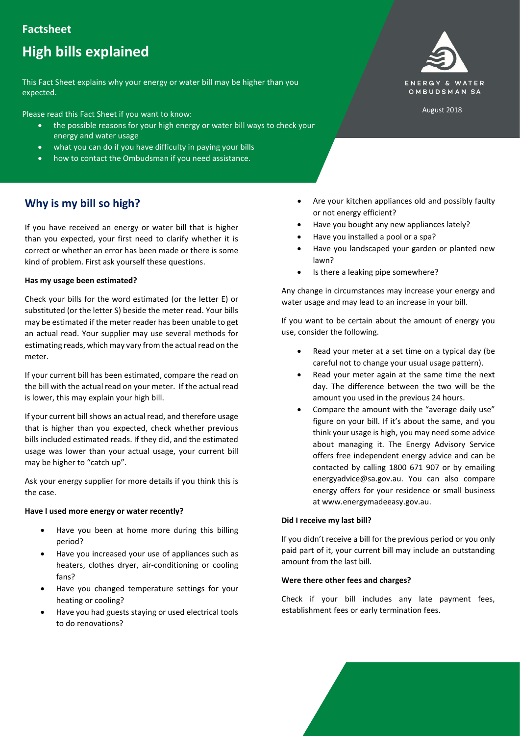# **Factsheet**

# **High bills explained**

This Fact Sheet explains why your energy or water bill may be higher than you expected.

Please read this Fact Sheet if you want to know:

- the possible reasons for your high energy or water bill ways to check your energy and water usage
- what you can do if you have difficulty in paying your bills
- how to contact the Ombudsman if you need assistance.

# **Why is my bill so high?**

If you have received an energy or water bill that is higher than you expected, your first need to clarify whether it is correct or whether an error has been made or there is some kind of problem. First ask yourself these questions.

## **Has my usage been estimated?**

Check your bills for the word estimated (or the letter E) or substituted (or the letter S) beside the meter read. Your bills may be estimated if the meter reader has been unable to get an actual read. Your supplier may use several methods for estimating reads, which may vary from the actual read on the meter.

If your current bill has been estimated, compare the read on the bill with the actual read on your meter. If the actual read is lower, this may explain your high bill.

If your current bill shows an actual read, and therefore usage that is higher than you expected, check whether previous bills included estimated reads. If they did, and the estimated usage was lower than your actual usage, your current bill may be higher to "catch up".

Ask your energy supplier for more details if you think this is the case.

## **Have I used more energy or water recently?**

- Have you been at home more during this billing period?
- Have you increased your use of appliances such as heaters, clothes dryer, air-conditioning or cooling fans?
- Have you changed temperature settings for your heating or cooling?
- Have you had guests staying or used electrical tools to do renovations?



August 2018

- Are your kitchen appliances old and possibly faulty or not energy efficient?
- Have you bought any new appliances lately?
- Have you installed a pool or a spa?
- Have you landscaped your garden or planted new lawn?
- Is there a leaking pipe somewhere?

Any change in circumstances may increase your energy and water usage and may lead to an increase in your bill.

If you want to be certain about the amount of energy you use, consider the following.

- Read your meter at a set time on a typical day (be careful not to change your usual usage pattern).
- Read your meter again at the same time the next day. The difference between the two will be the amount you used in the previous 24 hours.
- Compare the amount with the "average daily use" figure on your bill. If it's about the same, and you think your usage is high, you may need some advice about managing it. The Energy Advisory Service offers free independent energy advice and can be contacted by calling 1800 671 907 or by emailing energyadvice@sa.gov.au. You can also compare energy offers for your residence or small business at www.energymadeeasy.gov.au.

## **Did I receive my last bill?**

If you didn't receive a bill for the previous period or you only paid part of it, your current bill may include an outstanding amount from the last bill.

## **Were there other fees and charges?**

Check if your bill includes any late payment fees, establishment fees or early termination fees.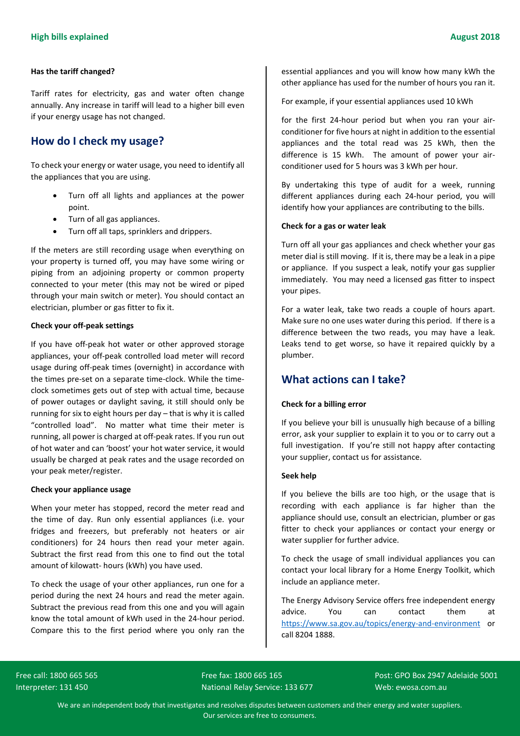## **Has the tariff changed?**

Tariff rates for electricity, gas and water often change annually. Any increase in tariff will lead to a higher bill even if your energy usage has not changed.

# **How do I check my usage?**

To check your energy or water usage, you need to identify all the appliances that you are using.

- Turn off all lights and appliances at the power point.
- Turn of all gas appliances.
- Turn off all taps, sprinklers and drippers.

If the meters are still recording usage when everything on your property is turned off, you may have some wiring or piping from an adjoining property or common property connected to your meter (this may not be wired or piped through your main switch or meter). You should contact an electrician, plumber or gas fitter to fix it.

# **Check your off-peak settings**

If you have off-peak hot water or other approved storage appliances, your off-peak controlled load meter will record usage during off-peak times (overnight) in accordance with the times pre-set on a separate time-clock. While the timeclock sometimes gets out of step with actual time, because of power outages or daylight saving, it still should only be running for six to eight hours per day – that is why it is called "controlled load". No matter what time their meter is running, all power is charged at off-peak rates. If you run out of hot water and can 'boost' your hot water service, it would usually be charged at peak rates and the usage recorded on your peak meter/register.

## **Check your appliance usage**

When your meter has stopped, record the meter read and the time of day. Run only essential appliances (i.e. your fridges and freezers, but preferably not heaters or air conditioners) for 24 hours then read your meter again. Subtract the first read from this one to find out the total amount of kilowatt- hours (kWh) you have used.

To check the usage of your other appliances, run one for a period during the next 24 hours and read the meter again. Subtract the previous read from this one and you will again know the total amount of kWh used in the 24-hour period. Compare this to the first period where you only ran the

essential appliances and you will know how many kWh the other appliance has used for the number of hours you ran it.

For example, if your essential appliances used 10 kWh

for the first 24-hour period but when you ran your airconditioner for five hours at night in addition to the essential appliances and the total read was 25 kWh, then the difference is 15 kWh. The amount of power your airconditioner used for 5 hours was 3 kWh per hour.

By undertaking this type of audit for a week, running different appliances during each 24-hour period, you will identify how your appliances are contributing to the bills.

# **Check for a gas or water leak**

Turn off all your gas appliances and check whether your gas meter dial is still moving. If it is, there may be a leak in a pipe or appliance. If you suspect a leak, notify your gas supplier immediately. You may need a licensed gas fitter to inspect your pipes.

For a water leak, take two reads a couple of hours apart. Make sure no one uses water during this period. If there is a difference between the two reads, you may have a leak. Leaks tend to get worse, so have it repaired quickly by a plumber.

# **What actions can I take?**

# **Check for a billing error**

If you believe your bill is unusually high because of a billing error, ask your supplier to explain it to you or to carry out a full investigation. If you're still not happy after contacting your supplier, contact us for assistance.

## **Seek help**

If you believe the bills are too high, or the usage that is recording with each appliance is far higher than the appliance should use, consult an electrician, plumber or gas fitter to check your appliances or contact your energy or water supplier for further advice.

To check the usage of small individual appliances you can contact your local library for a Home Energy Toolkit, which include an appliance meter.

The Energy Advisory Service offers free independent energy advice. You can contact them at <https://www.sa.gov.au/topics/energy-and-environment> or call 8204 1888.

Interpreter: 131 450 National Relay Service: 133 677 Web: ewosa.com.au National Relay Service: 133 677

Free call: 1800 665 565 Free Fax: 1800 665 165 Free Fax: 1800 665 165

We are an independent body that investigates and resolves disputes between customers and their energy and water suppliers. Our services are free to consumers.